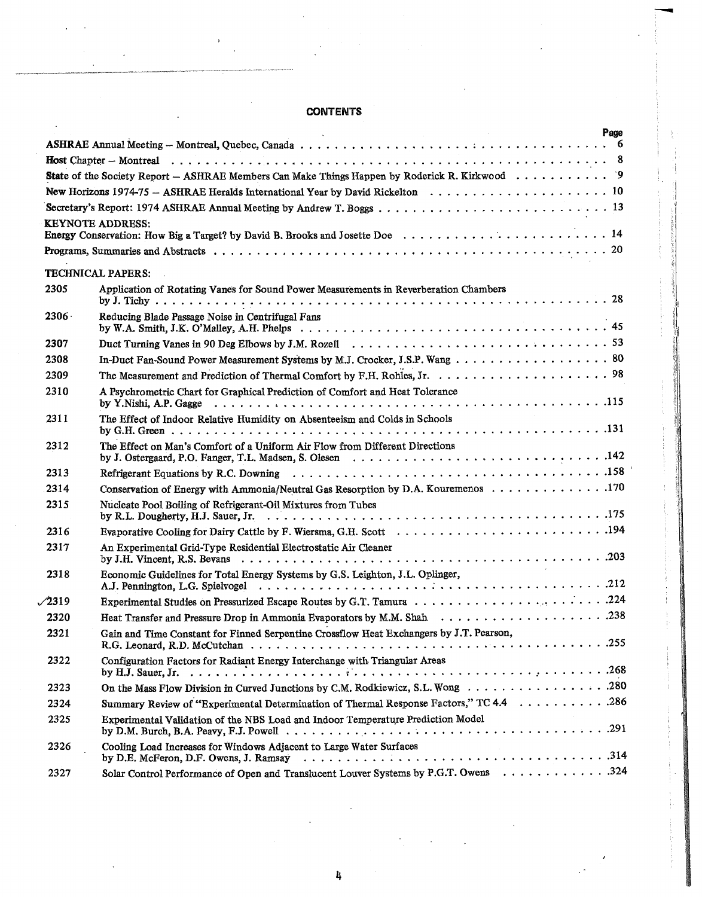## **CONTENTS**

|               | Page<br><b>Contractor</b>                                                                            |
|---------------|------------------------------------------------------------------------------------------------------|
|               |                                                                                                      |
|               |                                                                                                      |
|               | <b>State</b> of the Society Report – ASHRAE Members Can Make Things Happen by Roderick R. Kirkwood 9 |
|               |                                                                                                      |
|               |                                                                                                      |
|               | <b>KEYNOTE ADDRESS:</b>                                                                              |
|               |                                                                                                      |
|               | <b>TECHNICAL PAPERS:</b>                                                                             |
| 2305          | Application of Rotating Vanes for Sound Power Measurements in Reverberation Chambers                 |
| $2306 -$      | Reducing Blade Passage Noise in Centrifugal Fans                                                     |
| 2307          |                                                                                                      |
| 2308          | In-Duct Fan-Sound Power Measurement Systems by M.J. Crocker, J.S.P. Wang 80                          |
| 2309          |                                                                                                      |
| 2310          | A Psychrometric Chart for Graphical Prediction of Comfort and Heat Tolerance                         |
| 2311          | The Effect of Indoor Relative Humidity on Absenteeism and Colds in Schools                           |
| 2312          | The Effect on Man's Comfort of a Uniform Air Flow from Different Directions                          |
| 2313          |                                                                                                      |
| 2314          | Conservation of Energy with Ammonia/Neutral Gas Resorption by D.A. Kouremenos 170                    |
| 2315          | Nucleate Pool Boiling of Refrigerant-Oil Mixtures from Tubes                                         |
| 2316          |                                                                                                      |
| 2317          | An Experimental Grid-Type Residential Electrostatic Air Cleaner                                      |
| 2318          | Economic Guidelines for Total Energy Systems by G.S. Leighton, J.L. Oplinger,                        |
| $\sqrt{2319}$ |                                                                                                      |
| 2320          |                                                                                                      |
| 2321          | Gain and Time Constant for Finned Serpentine Crossflow Heat Exchangers by J.T. Pearson,              |
| 2322          | Configuration Factors for Radiant Energy Interchange with Triangular Areas                           |
| 2323          | On the Mass Flow Division in Curved Junctions by C.M. Rodkiewicz, S.L. Wong 280                      |
| 2324          | Summary Review of "Experimental Determination of Thermal Response Factors," TC 4.4 286               |
| 2325          | Experimental Validation of the NBS Load and Indoor Temperature Prediction Model                      |
| 2326          | Cooling Load Increases for Windows Adjacent to Large Water Surfaces                                  |
| 2327          | Solar Control Performance of Open and Translucent Louver Systems by P.G.T. Owens 324                 |